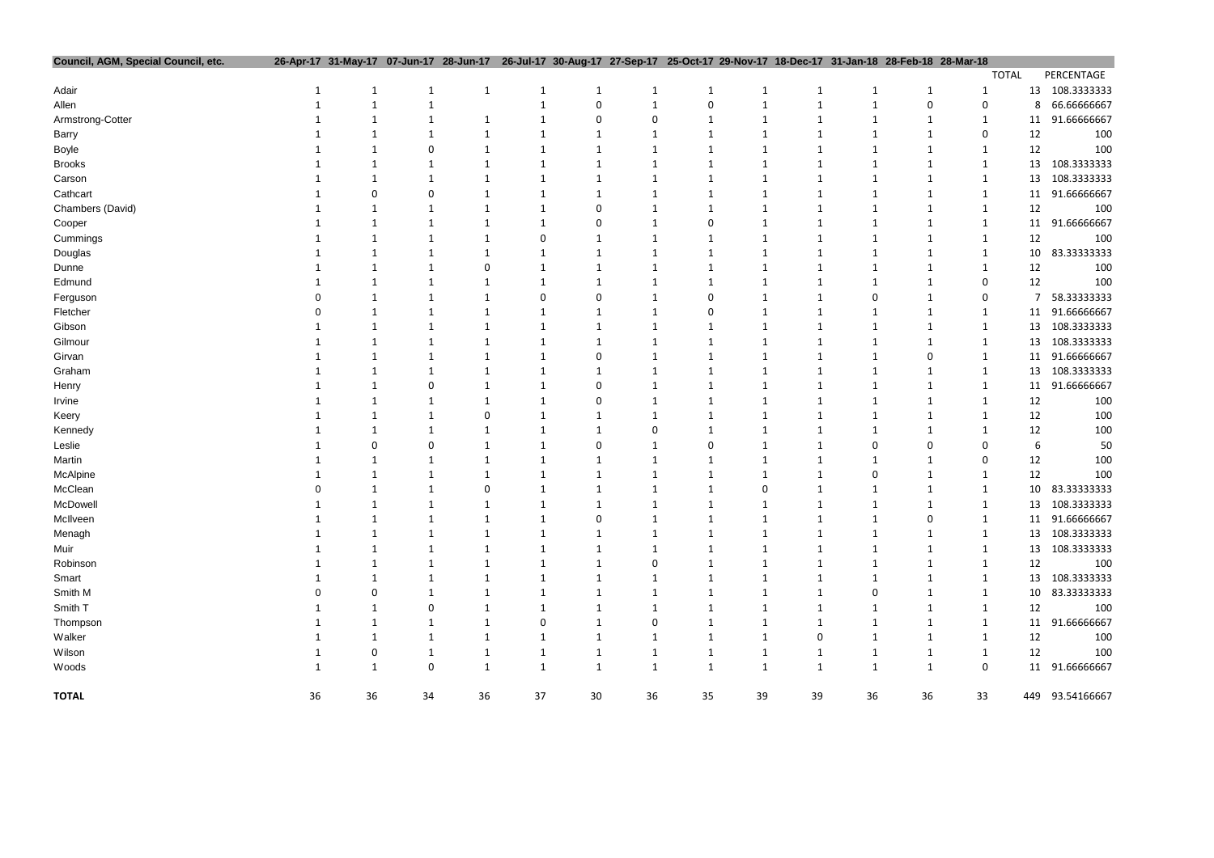| Council, AGM, Special Council, etc. |    |        |             |              | 26-Apr-17 31-May-17 07-Jun-17 28-Jun-17 26-Jul-17 30-Aug-17 27-Sep-17 25-Oct-17 29-Nov-17 18-Dec-17 31-Jan-18 28-Feb-18 28-Mar-18 |              |              |              |              |              |              |              |              |              |                 |
|-------------------------------------|----|--------|-------------|--------------|-----------------------------------------------------------------------------------------------------------------------------------|--------------|--------------|--------------|--------------|--------------|--------------|--------------|--------------|--------------|-----------------|
|                                     |    |        |             |              |                                                                                                                                   |              |              |              |              |              |              |              |              | <b>TOTAL</b> | PERCENTAGE      |
| Adair                               |    |        |             | $\mathbf{1}$ |                                                                                                                                   |              |              |              |              | 1            | 1            | 1            | -1           |              | 13 108.3333333  |
| Allen                               |    |        |             |              |                                                                                                                                   |              |              |              |              |              | 1            | $\mathbf 0$  | 0            | 8            | 66.66666667     |
| Armstrong-Cotter                    |    |        |             | 1            |                                                                                                                                   | 0            |              |              |              |              | $\mathbf{1}$ | 1            | $\mathbf{1}$ | 11           | 91.66666667     |
| Barry                               |    |        |             |              |                                                                                                                                   |              |              |              |              |              |              |              | 0            | 12           | 100             |
| Boyle                               |    |        |             |              |                                                                                                                                   |              |              |              |              |              |              |              | 1            | 12           | 100             |
| <b>Brooks</b>                       |    |        |             |              |                                                                                                                                   |              |              |              |              |              |              | 1            | $\mathbf 1$  | 13           | 108.3333333     |
| Carson                              |    |        |             |              |                                                                                                                                   |              |              |              |              |              |              |              | $\mathbf{1}$ | 13           | 108.3333333     |
| Cathcart                            |    |        |             |              |                                                                                                                                   |              |              |              |              |              |              |              | 1            | 11           | 91.66666667     |
| Chambers (David)                    |    |        |             |              |                                                                                                                                   |              |              |              |              |              |              |              | -1           | 12           | 100             |
| Cooper                              |    |        |             |              |                                                                                                                                   |              |              |              |              |              |              |              | -1           | 11           | 91.66666667     |
| Cummings                            |    |        |             |              |                                                                                                                                   |              |              |              |              |              |              |              | -1           | 12           | 100             |
| Douglas                             |    |        |             |              |                                                                                                                                   |              |              |              |              |              |              |              |              | 10           | 83.33333333     |
| Dunne                               |    |        |             |              |                                                                                                                                   |              |              |              |              |              |              |              |              | 12           | 100             |
| Edmund                              |    |        |             |              |                                                                                                                                   |              |              |              |              |              |              |              | 0            | 12           | 100             |
| Ferguson                            |    |        |             |              |                                                                                                                                   |              |              |              |              |              |              |              | 0            | 7            | 58.33333333     |
| Fletcher                            |    |        |             |              |                                                                                                                                   |              |              |              |              |              |              |              |              | 11           | 91.66666667     |
| Gibson                              |    |        |             |              |                                                                                                                                   |              |              |              |              |              |              |              | 1            | 13           | 108.3333333     |
| Gilmour                             |    |        |             |              |                                                                                                                                   |              |              |              |              |              |              | 1            | -1           | 13           | 108.3333333     |
| Girvan                              |    |        |             |              |                                                                                                                                   |              |              |              |              |              |              | 0            | -1           | 11           | 91.66666667     |
| Graham                              |    |        |             |              |                                                                                                                                   |              |              |              |              |              |              |              | -1           | 13           | 108.3333333     |
| Henry                               |    |        |             |              |                                                                                                                                   |              |              |              |              |              |              |              | 1            | 11           | 91.66666667     |
| Irvine                              |    |        |             |              |                                                                                                                                   |              |              |              |              |              |              |              |              | 12           | 100             |
| Keery                               |    |        |             |              |                                                                                                                                   |              |              |              |              |              |              |              |              | 12           | 100             |
| Kennedy                             |    |        |             |              |                                                                                                                                   |              |              |              |              |              |              |              |              | 12           | 100             |
| Leslie                              |    |        |             |              |                                                                                                                                   |              |              |              |              |              |              | O            | 0            | 6            | 50              |
| Martin                              |    |        |             |              |                                                                                                                                   |              |              |              |              |              |              |              | 0            | 12           | 100             |
| McAlpine                            |    |        |             |              |                                                                                                                                   |              |              |              |              |              |              |              |              | 12           | 100             |
| McClean                             |    |        |             |              |                                                                                                                                   |              |              |              |              |              |              |              | 1            | 10           | 83.33333333     |
| McDowell                            |    |        |             | 1            |                                                                                                                                   |              |              |              |              |              |              | $\mathbf{1}$ | $\mathbf{1}$ | 13           | 108.3333333     |
| McIlveen                            |    |        |             | 1            |                                                                                                                                   | 0            |              |              |              | 1            | 1            | 0            | -1           | 11           | 91.66666667     |
| Menagh                              |    |        |             | 1            |                                                                                                                                   | 1            |              |              | 1            | 1            | 1            | 1            |              | 13           | 108.3333333     |
| Muir                                |    |        |             | 1            | 1                                                                                                                                 | 1            | 1            | 1            | $\mathbf 1$  | $\mathbf 1$  | $\mathbf{1}$ | $\mathbf{1}$ | $\mathbf{1}$ | 13           | 108.3333333     |
| Robinson                            |    |        |             |              |                                                                                                                                   |              |              |              |              |              | 1            | 1            | $\mathbf{1}$ | 12           | 100             |
| Smart                               |    |        |             |              |                                                                                                                                   |              |              |              |              | 1            | 1            | 1            | -1           | 13           | 108.3333333     |
| Smith M                             |    |        |             |              |                                                                                                                                   |              |              |              |              |              | 0            | 1            | $\mathbf{1}$ | 10           | 83.33333333     |
| Smith T                             |    |        | 0           | $\mathbf{1}$ | 1                                                                                                                                 |              |              |              | 1            | 1            | $\mathbf{1}$ | 1            | $\mathbf{1}$ | 12           | 100             |
| Thompson                            |    |        |             | 1            | 0                                                                                                                                 |              | 0            |              |              | $\mathbf 1$  | $\mathbf{1}$ | $\mathbf{1}$ | $\mathbf{1}$ | 11           | 91.66666667     |
| Walker                              |    |        |             | 1            | 1                                                                                                                                 | $\mathbf 1$  | -1           | 1            | $\mathbf 1$  | 0            | $\mathbf{1}$ | $\mathbf{1}$ | $\mathbf{1}$ | 12           | 100             |
| Wilson                              |    | 0      |             | 1            | 1                                                                                                                                 |              |              | 1            | $\mathbf 1$  | $\mathbf{1}$ | $\mathbf{1}$ |              |              | 12           | 100             |
|                                     |    | 1      | $\mathbf 0$ | $\mathbf{1}$ | $\mathbf{1}$                                                                                                                      | $\mathbf 1$  | $\mathbf 1$  |              |              |              |              | $\mathbf{1}$ | $\mathbf{1}$ |              |                 |
| Woods                               |    |        |             |              |                                                                                                                                   | $\mathbf{1}$ | $\mathbf{1}$ | $\mathbf{1}$ | $\mathbf{1}$ | $\mathbf{1}$ | $\mathbf{1}$ | $\mathbf{1}$ | $\mathbf 0$  |              | 11 91.66666667  |
| <b>TOTAL</b>                        | 36 | $36\,$ | 34          | 36           | $37\,$                                                                                                                            | $30\,$       | 36           | 35           | 39           | 39           | 36           | 36           | 33           |              | 449 93.54166667 |